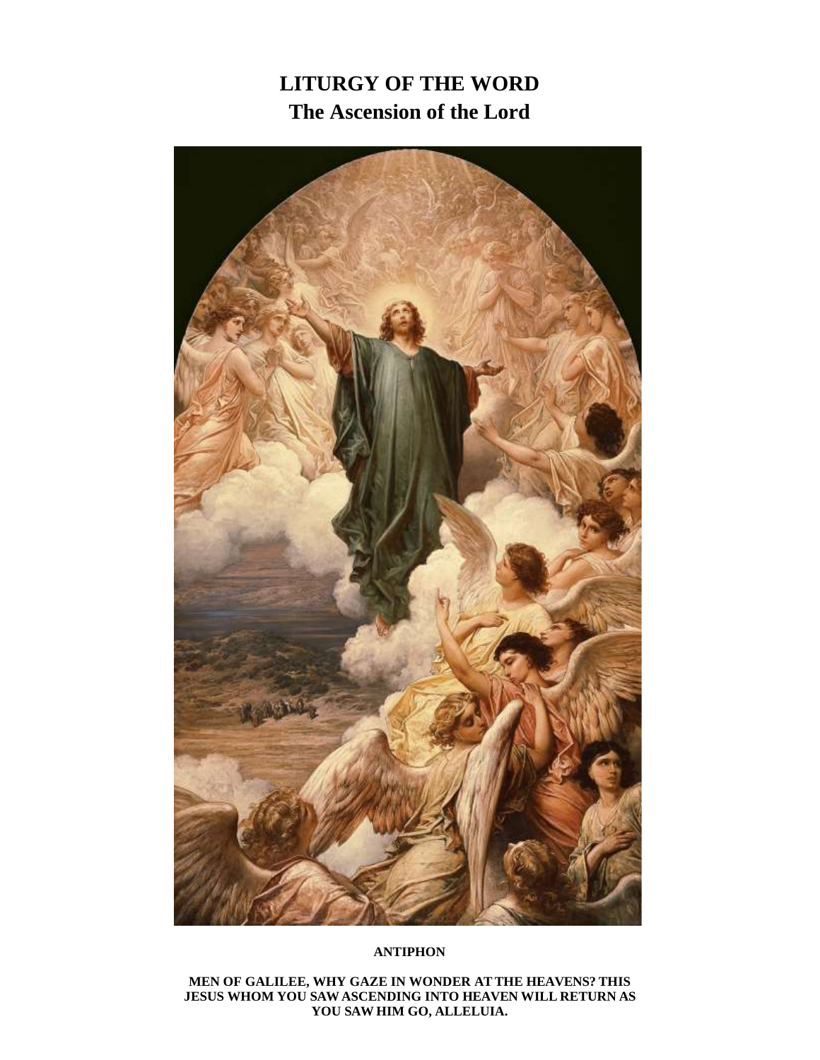# **LITURGY OF THE WORD The Ascension of the Lord**



#### **ANTIPHON**

**MEN OF GALILEE, WHY GAZE IN WONDER AT THE HEAVENS? THIS JESUS WHOM YOU SAWASCENDING INTO HEAVEN WILL RETURN AS YOU SAW HIM GO, ALLELUIA.**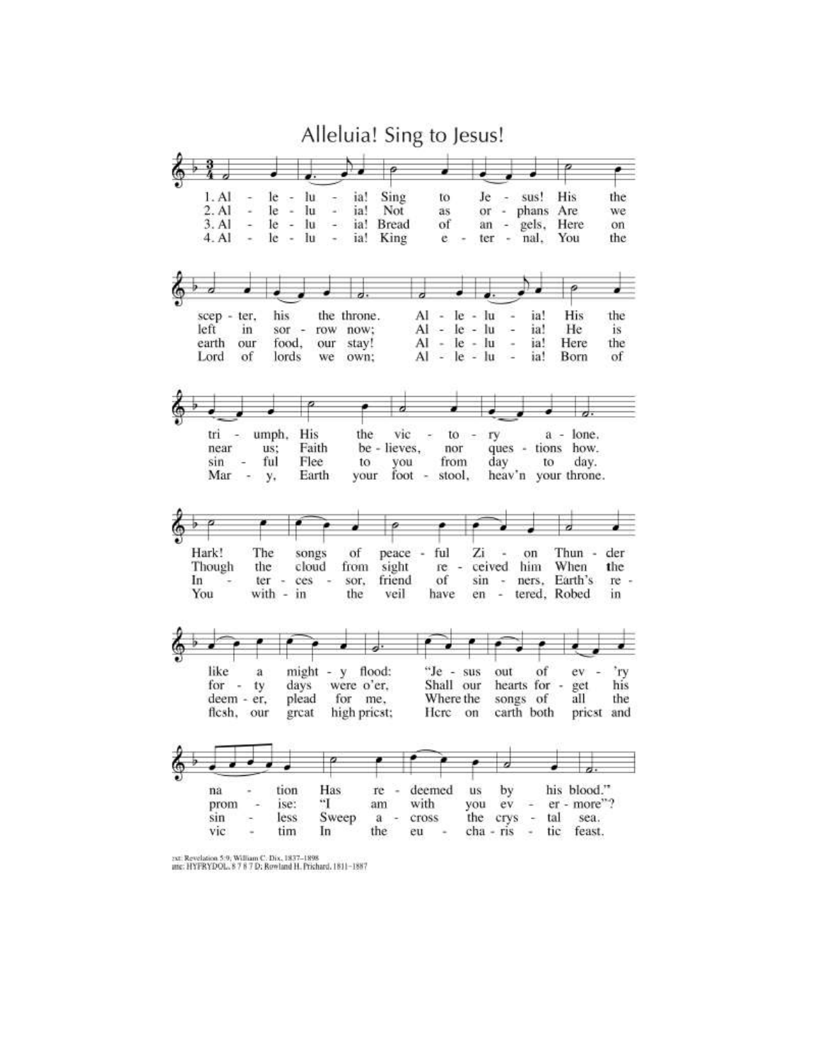

<sup>2</sup>xt; Revelation 5:9; William C. Dix, 1837-1898<br>anc: HYFRYDOL, 8 7 8 7 D; Rowland H. Prichard, 1811-1887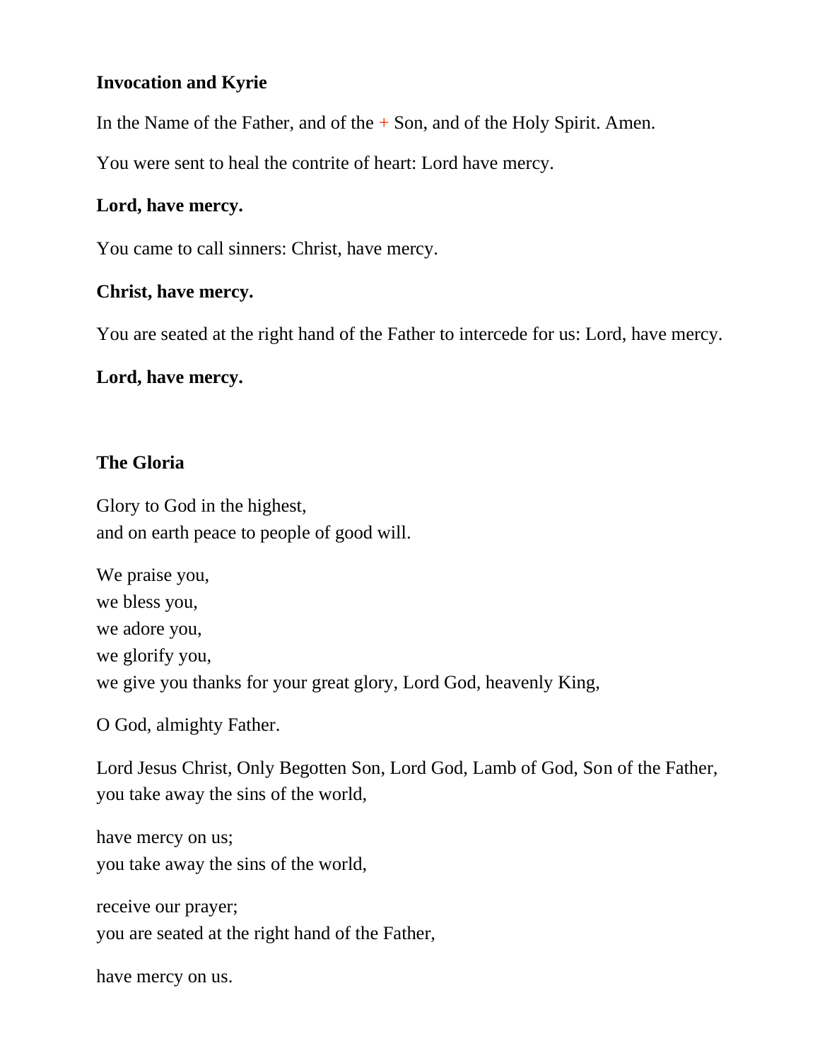# **Invocation and Kyrie**

In the Name of the Father, and of the  $+$  Son, and of the Holy Spirit. Amen.

You were sent to heal the contrite of heart: Lord have mercy.

#### **Lord, have mercy.**

You came to call sinners: Christ, have mercy.

# **Christ, have mercy.**

You are seated at the right hand of the Father to intercede for us: Lord, have mercy.

# **Lord, have mercy.**

# **The Gloria**

Glory to God in the highest, and on earth peace to people of good will.

We praise you, we bless you, we adore you, we glorify you, we give you thanks for your great glory, Lord God, heavenly King,

O God, almighty Father.

Lord Jesus Christ, Only Begotten Son, Lord God, Lamb of God, Son of the Father, you take away the sins of the world,

have mercy on us; you take away the sins of the world,

receive our prayer; you are seated at the right hand of the Father,

have mercy on us.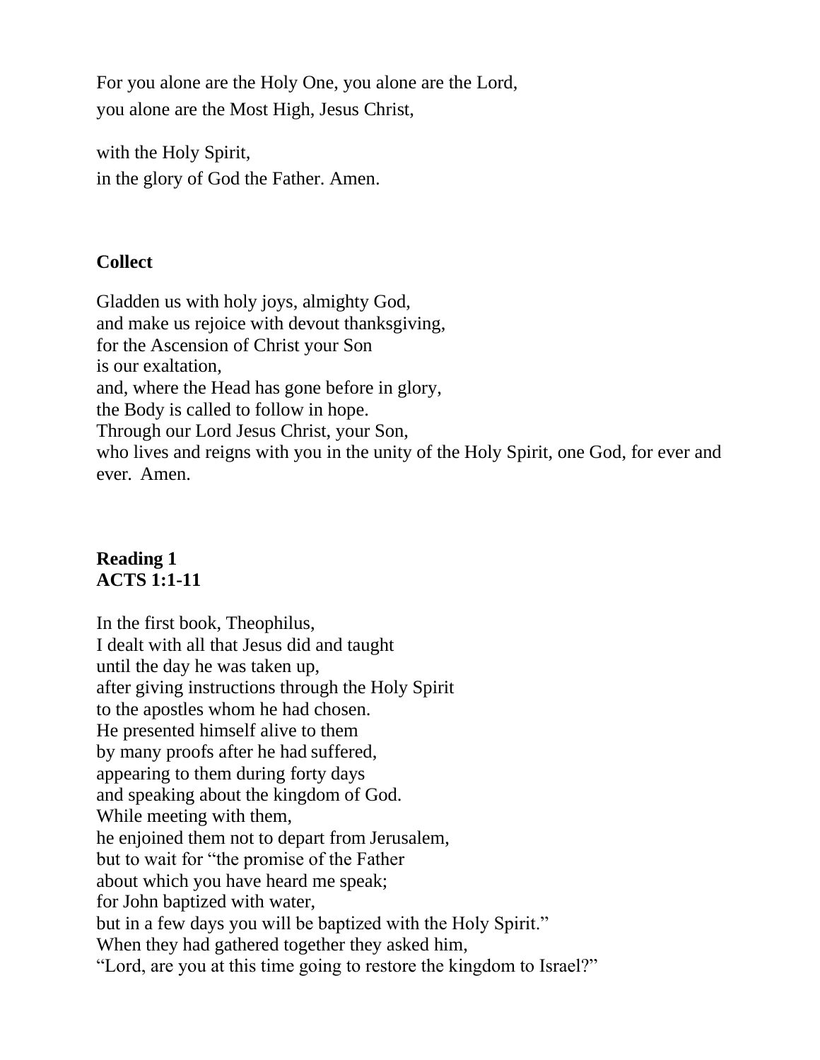For you alone are the Holy One, you alone are the Lord, you alone are the Most High, Jesus Christ,

with the Holy Spirit, in the glory of God the Father. Amen.

# **Collect**

Gladden us with holy joys, almighty God, and make us rejoice with devout thanksgiving, for the Ascension of Christ your Son is our exaltation, and, where the Head has gone before in glory, the Body is called to follow in hope. Through our Lord Jesus Christ, your Son, who lives and reigns with you in the unity of the Holy Spirit, one God, for ever and ever. Amen.

# **Reading 1 ACTS 1:1-11**

In the first book, Theophilus, I dealt with all that Jesus did and taught until the day he was taken up, after giving instructions through the Holy Spirit to the apostles whom he had chosen. He presented himself alive to them by many proofs after he had suffered, appearing to them during forty days and speaking about the kingdom of God. While meeting with them, he enjoined them not to depart from Jerusalem, but to wait for "the promise of the Father about which you have heard me speak; for John baptized with water, but in a few days you will be baptized with the Holy Spirit." When they had gathered together they asked him, "Lord, are you at this time going to restore the kingdom to Israel?"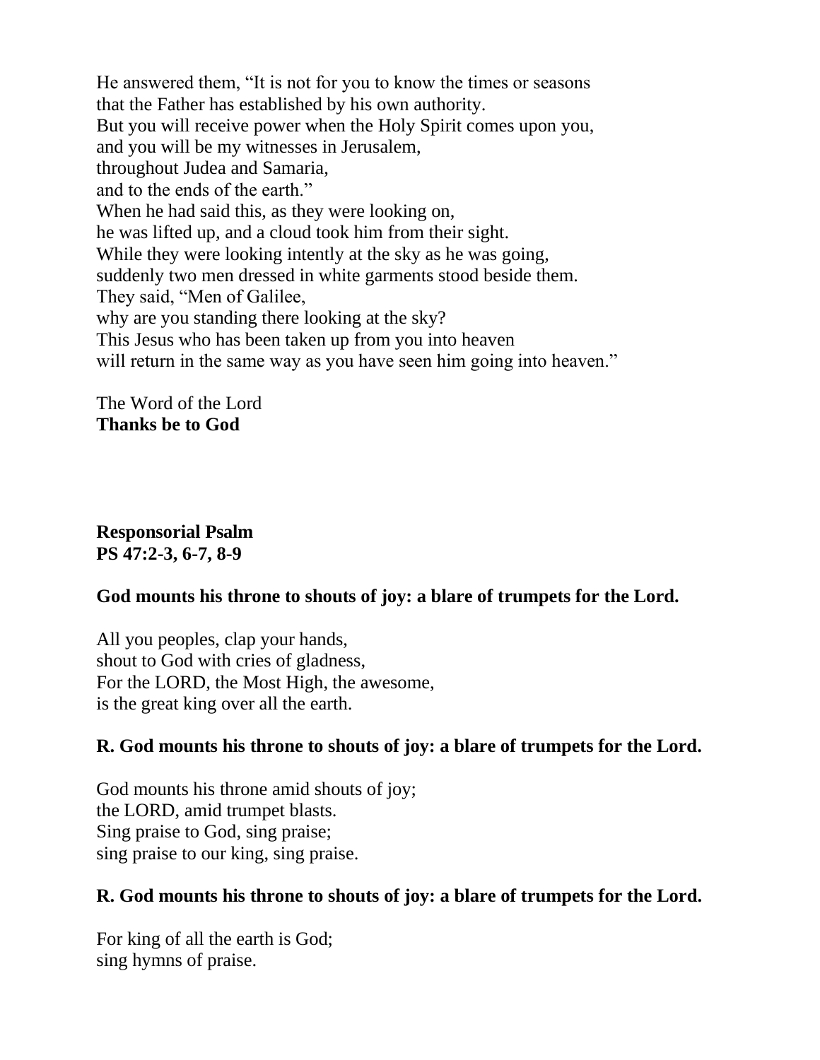He answered them, "It is not for you to know the times or seasons that the Father has established by his own authority. But you will receive power when the Holy Spirit comes upon you, and you will be my witnesses in Jerusalem, throughout Judea and Samaria, and to the ends of the earth." When he had said this, as they were looking on, he was lifted up, and a cloud took him from their sight. While they were looking intently at the sky as he was going, suddenly two men dressed in white garments stood beside them. They said, "Men of Galilee, why are you standing there looking at the sky? This Jesus who has been taken up from you into heaven will return in the same way as you have seen him going into heaven."

The Word of the Lord **Thanks be to God**

**Responsorial Psalm PS 47:2-3, 6-7, 8-9**

#### **God mounts his throne to shouts of joy: a blare of trumpets for the Lord.**

All you peoples, clap your hands, shout to God with cries of gladness, For the LORD, the Most High, the awesome, is the great king over all the earth.

#### **R. God mounts his throne to shouts of joy: a blare of trumpets for the Lord.**

God mounts his throne amid shouts of joy; the LORD, amid trumpet blasts. Sing praise to God, sing praise; sing praise to our king, sing praise.

#### **R. God mounts his throne to shouts of joy: a blare of trumpets for the Lord.**

For king of all the earth is God; sing hymns of praise.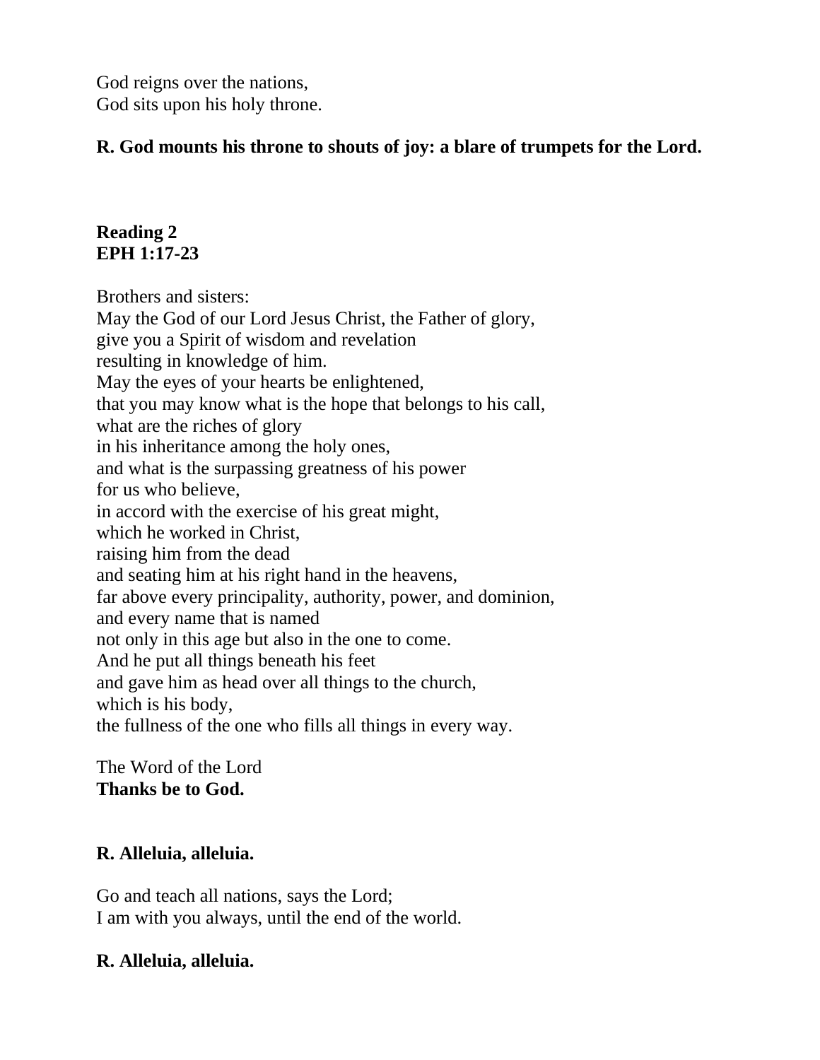God reigns over the nations, God sits upon his holy throne.

# **R. God mounts his throne to shouts of joy: a blare of trumpets for the Lord.**

# **Reading 2 EPH 1:17-23**

Brothers and sisters: May the God of our Lord Jesus Christ, the Father of glory, give you a Spirit of wisdom and revelation resulting in knowledge of him. May the eyes of your hearts be enlightened, that you may know what is the hope that belongs to his call, what are the riches of glory in his inheritance among the holy ones, and what is the surpassing greatness of his power for us who believe, in accord with the exercise of his great might, which he worked in Christ, raising him from the dead and seating him at his right hand in the heavens, far above every principality, authority, power, and dominion, and every name that is named not only in this age but also in the one to come. And he put all things beneath his feet and gave him as head over all things to the church, which is his body, the fullness of the one who fills all things in every way.

# The Word of the Lord **Thanks be to God.**

# **R. Alleluia, alleluia.**

Go and teach all nations, says the Lord; I am with you always, until the end of the world.

# **R. Alleluia, alleluia.**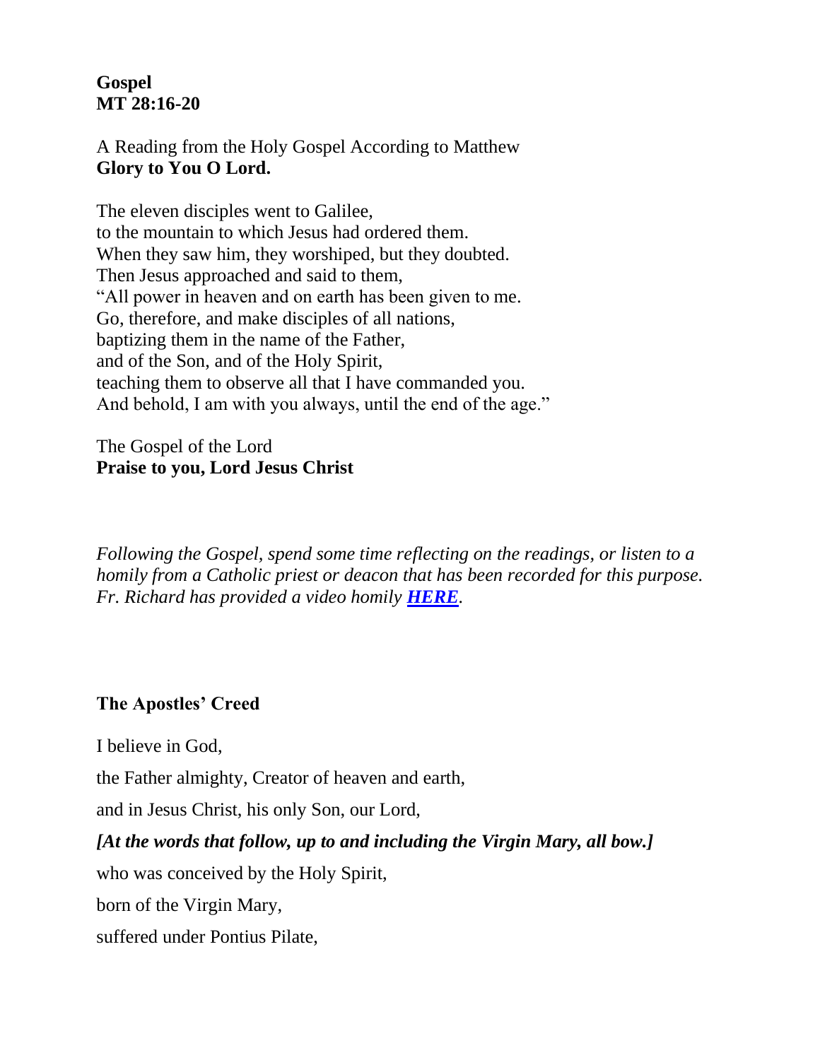# **Gospel MT 28:16-20**

A Reading from the Holy Gospel According to Matthew **Glory to You O Lord.**

The eleven disciples went to Galilee, to the mountain to which Jesus had ordered them. When they saw him, they worshiped, but they doubted. Then Jesus approached and said to them, "All power in heaven and on earth has been given to me. Go, therefore, and make disciples of all nations, baptizing them in the name of the Father, and of the Son, and of the Holy Spirit, teaching them to observe all that I have commanded you. And behold, I am with you always, until the end of the age."

#### The Gospel of the Lord **Praise to you, Lord Jesus Christ**

*Following the Gospel, spend some time reflecting on the readings, or listen to a homily from a Catholic priest or deacon that has been recorded for this purpose. Fr. Richard has provided a video homily [HERE](https://youtu.be/5v63RgJ8P2s).*

# **The Apostles' Creed**

I believe in God,

the Father almighty, Creator of heaven and earth,

and in Jesus Christ, his only Son, our Lord,

# *[At the words that follow, up to and including the Virgin Mary, all bow.]*

who was conceived by the Holy Spirit,

born of the Virgin Mary,

suffered under Pontius Pilate,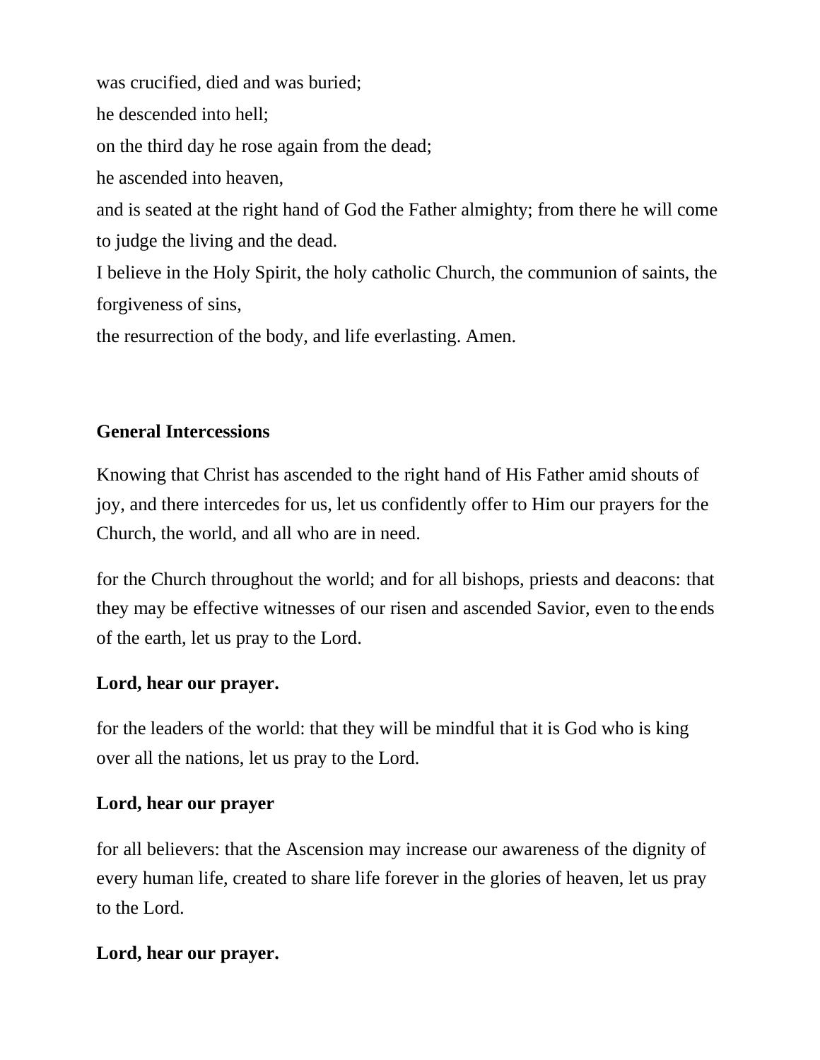was crucified, died and was buried; he descended into hell; on the third day he rose again from the dead; he ascended into heaven, and is seated at the right hand of God the Father almighty; from there he will come to judge the living and the dead. I believe in the Holy Spirit, the holy catholic Church, the communion of saints, the forgiveness of sins, the resurrection of the body, and life everlasting. Amen.

# **General Intercessions**

Knowing that Christ has ascended to the right hand of His Father amid shouts of joy, and there intercedes for us, let us confidently offer to Him our prayers for the Church, the world, and all who are in need.

for the Church throughout the world; and for all bishops, priests and deacons: that they may be effective witnesses of our risen and ascended Savior, even to the ends of the earth, let us pray to the Lord.

# **Lord, hear our prayer.**

for the leaders of the world: that they will be mindful that it is God who is king over all the nations, let us pray to the Lord.

# **Lord, hear our prayer**

for all believers: that the Ascension may increase our awareness of the dignity of every human life, created to share life forever in the glories of heaven, let us pray to the Lord.

# **Lord, hear our prayer.**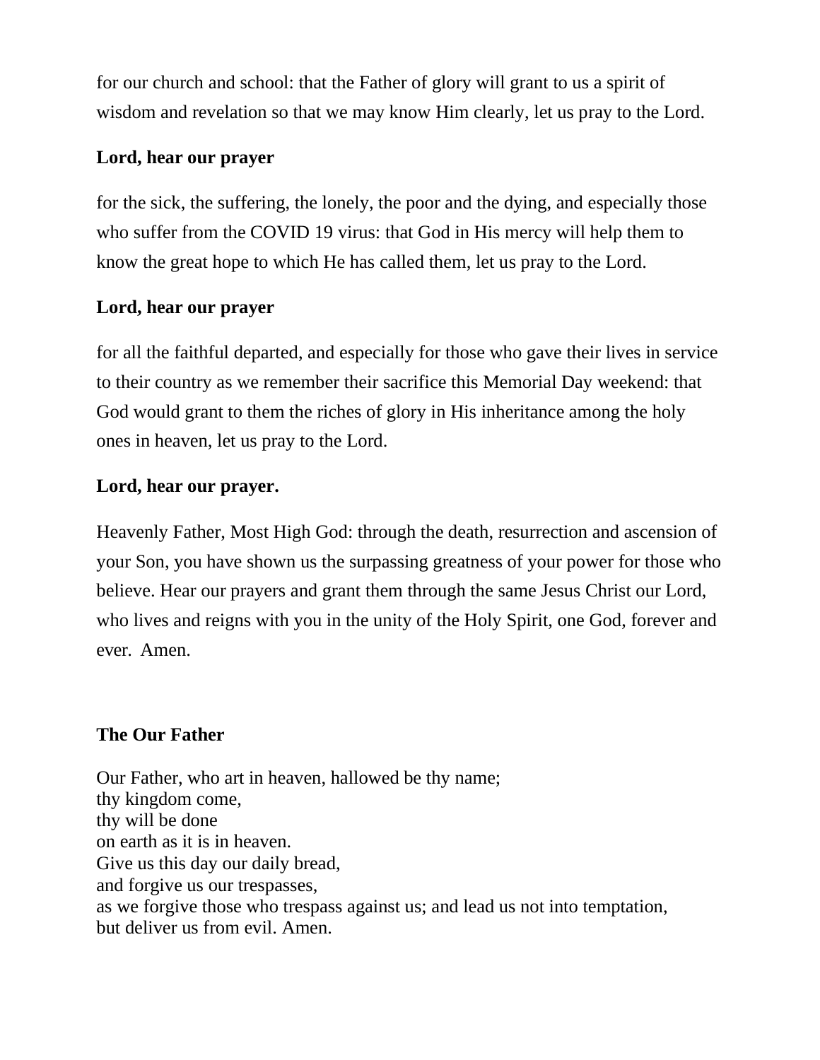for our church and school: that the Father of glory will grant to us a spirit of wisdom and revelation so that we may know Him clearly, let us pray to the Lord.

#### **Lord, hear our prayer**

for the sick, the suffering, the lonely, the poor and the dying, and especially those who suffer from the COVID 19 virus: that God in His mercy will help them to know the great hope to which He has called them, let us pray to the Lord.

# **Lord, hear our prayer**

for all the faithful departed, and especially for those who gave their lives in service to their country as we remember their sacrifice this Memorial Day weekend: that God would grant to them the riches of glory in His inheritance among the holy ones in heaven, let us pray to the Lord.

# **Lord, hear our prayer.**

Heavenly Father, Most High God: through the death, resurrection and ascension of your Son, you have shown us the surpassing greatness of your power for those who believe. Hear our prayers and grant them through the same Jesus Christ our Lord, who lives and reigns with you in the unity of the Holy Spirit, one God, forever and ever. Amen.

# **The Our Father**

Our Father, who art in heaven, hallowed be thy name; thy kingdom come, thy will be done on earth as it is in heaven. Give us this day our daily bread, and forgive us our trespasses, as we forgive those who trespass against us; and lead us not into temptation, but deliver us from evil. Amen.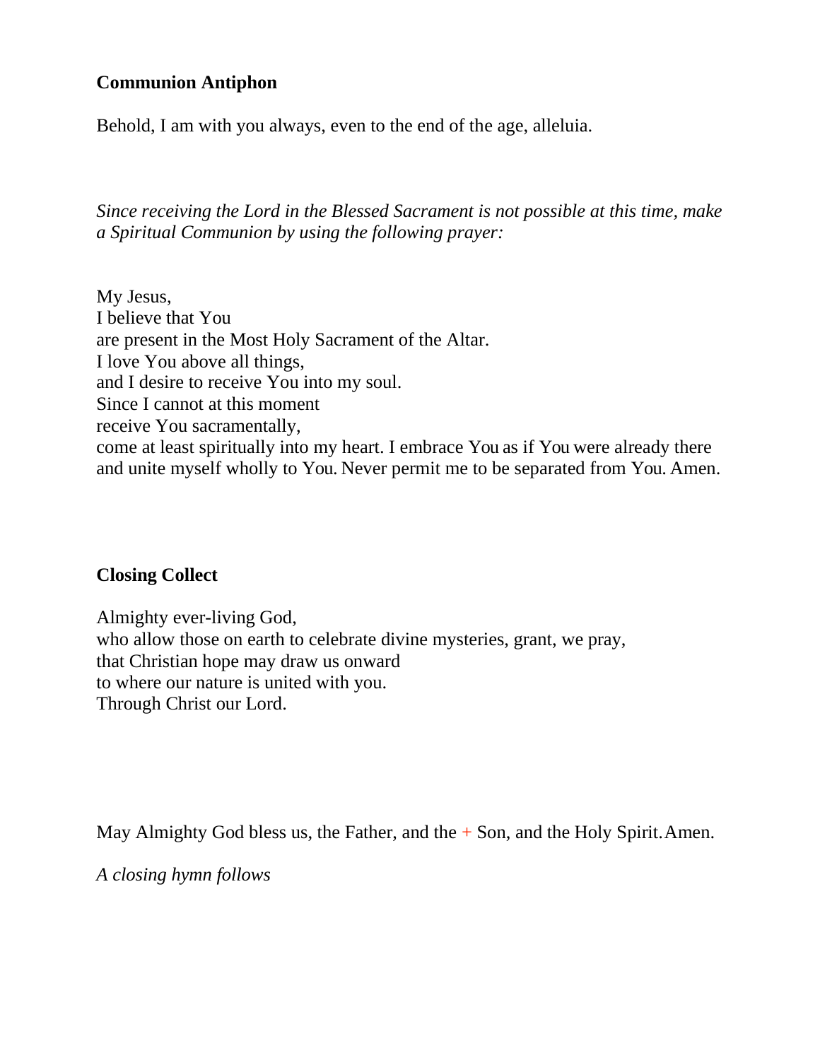# **Communion Antiphon**

Behold, I am with you always, even to the end of the age, alleluia.

*Since receiving the Lord in the Blessed Sacrament is not possible at this time, make a Spiritual Communion by using the following prayer:*

My Jesus, I believe that You are present in the Most Holy Sacrament of the Altar. I love You above all things, and I desire to receive You into my soul. Since I cannot at this moment receive You sacramentally, come at least spiritually into my heart. I embrace You as if You were already there and unite myself wholly to You. Never permit me to be separated from You. Amen.

#### **Closing Collect**

Almighty ever-living God, who allow those on earth to celebrate divine mysteries, grant, we pray, that Christian hope may draw us onward to where our nature is united with you. Through Christ our Lord.

May Almighty God bless us, the Father, and the  $+$  Son, and the Holy Spirit. Amen.

*A closing hymn follows*